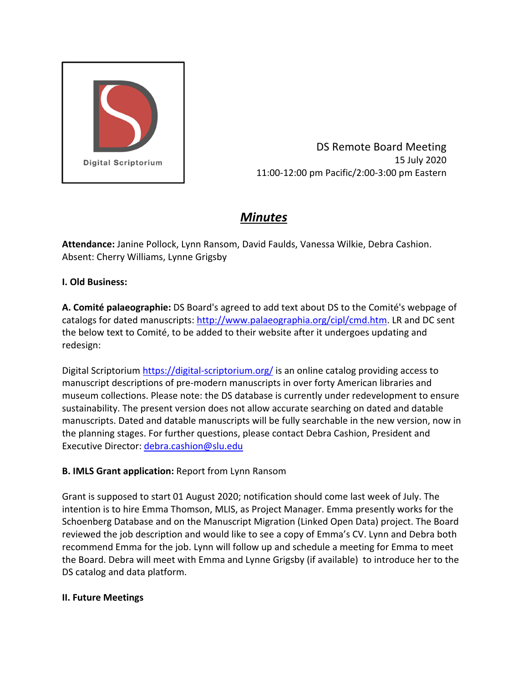

DS Remote Board Meeting 15 July 2020 11:00‐12:00 pm Pacific/2:00‐3:00 pm Eastern

# *Minutes*

**Attendance:** Janine Pollock, Lynn Ransom, David Faulds, Vanessa Wilkie, Debra Cashion. Absent: Cherry Williams, Lynne Grigsby

## **I. Old Business:**

**A. Comité palaeographie:** DS Board's agreed to add text about DS to the Comité's webpage of catalogs for dated manuscripts: http://www.palaeographia.org/cipl/cmd.htm. LR and DC sent the below text to Comité, to be added to their website after it undergoes updating and redesign:

Digital Scriptorium https://digital‐scriptorium.org/ is an online catalog providing access to manuscript descriptions of pre‐modern manuscripts in over forty American libraries and museum collections. Please note: the DS database is currently under redevelopment to ensure sustainability. The present version does not allow accurate searching on dated and datable manuscripts. Dated and datable manuscripts will be fully searchable in the new version, now in the planning stages. For further questions, please contact Debra Cashion, President and Executive Director: debra.cashion@slu.edu

## **B. IMLS Grant application:** Report from Lynn Ransom

Grant is supposed to start 01 August 2020; notification should come last week of July. The intention is to hire Emma Thomson, MLIS, as Project Manager. Emma presently works for the Schoenberg Database and on the Manuscript Migration (Linked Open Data) project. The Board reviewed the job description and would like to see a copy of Emma's CV. Lynn and Debra both recommend Emma for the job. Lynn will follow up and schedule a meeting for Emma to meet the Board. Debra will meet with Emma and Lynne Grigsby (if available) to introduce her to the DS catalog and data platform.

#### **II. Future Meetings**